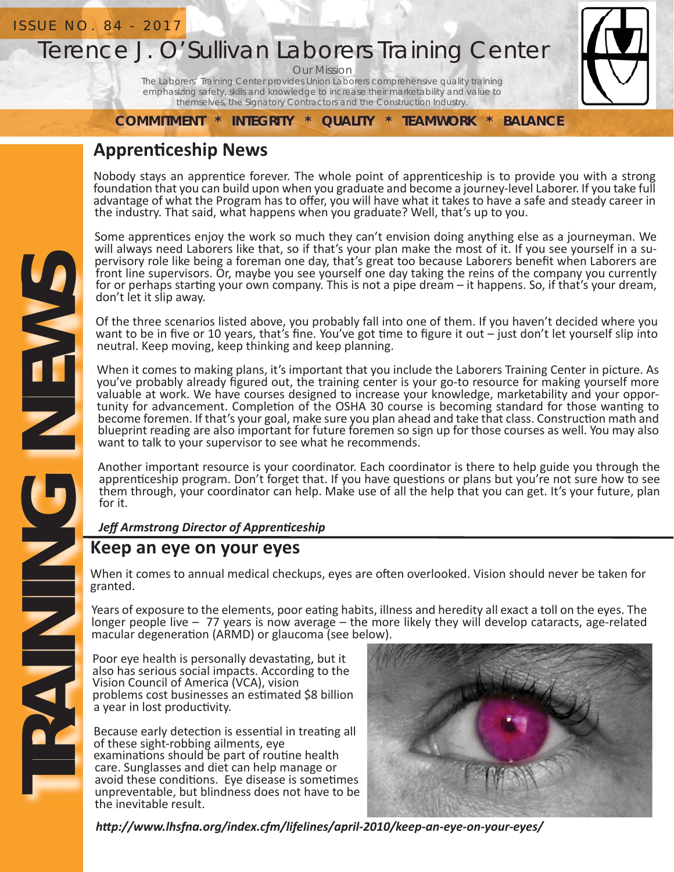# Terence J. O'Sullivan Laborers Training Center

Our Mission

The Laborers' Training Center provides Union Laborers comprehensive quality training emphasizing safety, skills and knowledge to increase their marketability and value to themselves, the Signatory Contractors and the Construction Industry.

**COMMITMENT \* INTEGRITY \* QUALITY \* TEAMWORK \* BALANCE**

### **ApprenƟ ceship News**

Nobody stays an apprentice forever. The whole point of apprenticeship is to provide you with a strong foundation that you can build upon when you graduate and become a journey-level Laborer. If you take full advantage of what the Program has to offer, you will have what it takes to have a safe and steady career in the industry. That said, what happens when you graduate? Well, that's up to you.

Some apprentices enjoy the work so much they can't envision doing anything else as a journeyman. We will always need Laborers like that, so if that's your plan make the most of it. If you see yourself in a supervisory role like being a foreman one day, that's great too because Laborers benefit when Laborers are front line supervisors. Or, maybe you see yourself one day taking the reins of the company you currently for or perhaps starting your own company. This is not a pipe dream – it happens. So, if that's your dream, don't let it slip away.

Of the three scenarios listed above, you probably fall into one of them. If you haven't decided where you want to be in five or 10 years, that's fine. You've got time to figure it out  $-$  just don't let yourself slip into neutral. Keep moving, keep thinking and keep planning.

When it comes to making plans, it's important that you include the Laborers Training Center in picture. As you've probably already figured out, the training center is your go-to resource for making yourself more valuable at work. We have courses designed to increase your knowledge, marketability and your opportunity for advancement. Completion of the OSHA 30 course is becoming standard for those wanting to become foremen. If that's your goal, make sure you plan ahead and take that class. Construction math and blueprint reading are also important for future foremen so sign up for those courses as well. You may also want to talk to your supervisor to see what he recommends.

Another important resource is your coordinator. Each coordinator is there to help guide you through the apprenticeship program. Don't forget that. If you have questions or plans but you're not sure how to see them through, your coordinator can help. Make use of all the help that you can get. It's your future, plan for it.

*Jeff Armstrong Director of Apprenticeship* 

### **Keep an eye on your eyes**

When it comes to annual medical checkups, eyes are often overlooked. Vision should never be taken for granted.

Years of exposure to the elements, poor eating habits, illness and heredity all exact a toll on the eyes. The longer people live – 77 years is now average – the more likely they will develop cataracts, age-related macular degeneration (ARMD) or glaucoma (see below).

Poor eye health is personally devastating, but it also has serious social impacts. According to the Vision Council of America (VCA), vision problems cost businesses an estimated \$8 billion a year in lost productivity.

Because early detection is essential in treating all of these sight-robbing ailments, eye examinations should be part of routine health care. Sunglasses and diet can help manage or avoid these conditions. Eye disease is sometimes unpreventable, but blindness does not have to be the inevitable result.



*hƩ p://www.lhsfna.org/index.cfm/lifelines/april-2010/keep-an-eye-on-your-eyes/*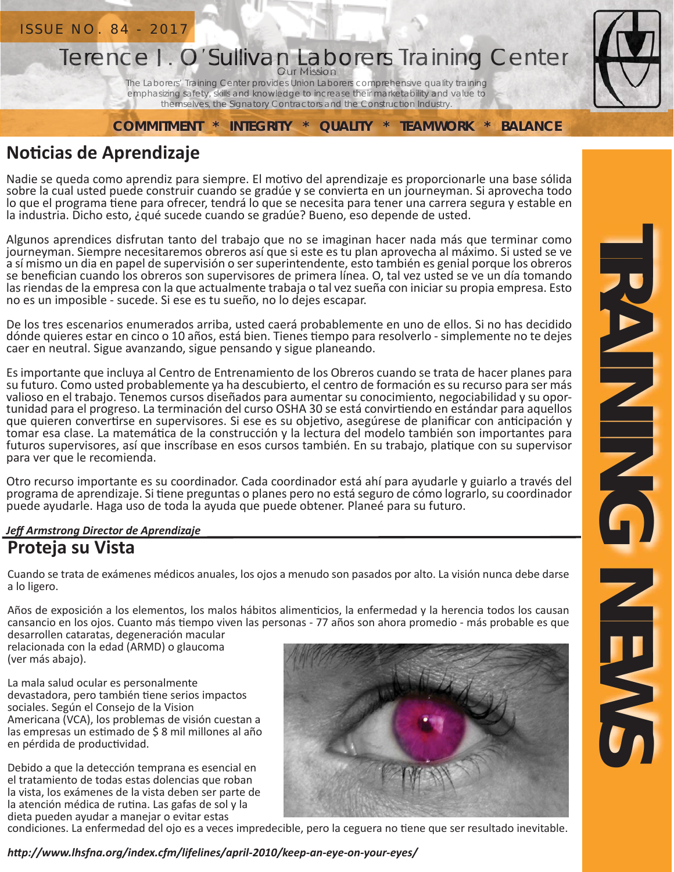

## **NoƟ cias de Aprendizaje**

Nadie se queda como aprendiz para siempre. El motivo del aprendizaje es proporcionarle una base sólida sobre la cual usted puede construir cuando se gradúe y se convierta en un journeyman. Si aprovecha todo lo que el programa tiene para ofrecer, tendrá lo que se necesita para tener una carrera segura y estable en la industria. Dicho esto, ¿qué sucede cuando se gradúe? Bueno, eso depende de usted.

Algunos aprendices disfrutan tanto del trabajo que no se imaginan hacer nada más que terminar como journeyman. Siempre necesitaremos obreros así que si este es tu plan aprovecha al máximo. Si usted se ve a sí mismo un dia en papel de supervisión o ser superintendente, esto también es genial porque los obreros se benefician cuando los obreros son supervisores de primera línea. O, tal vez usted se ve un día tomando las riendas de la empresa con la que actualmente trabaja o tal vez sueña con iniciar su propia empresa. Esto no es un imposible - sucede. Si ese es tu sueño, no lo dejes escapar.

De los tres escenarios enumerados arriba, usted caerá probablemente en uno de ellos. Si no has decidido dónde quieres estar en cinco o 10 años, está bien. Tienes tiempo para resolverlo - simplemente no te dejes caer en neutral. Sigue avanzando, sigue pensando y sigue planeando.

Es importante que incluya al Centro de Entrenamiento de los Obreros cuando se trata de hacer planes para su futuro. Como usted probablemente ya ha descubierto, el centro de formación es su recurso para ser más valioso en el trabajo. Tenemos cursos diseñados para aumentar su conocimiento, negociabilidad y su oportunidad para el progreso. La terminación del curso OSHA 30 se está convirtiendo en estándar para aquellos que quieren convertirse en supervisores. Si ese es su objetivo, asegúrese de planificar con anticipación y tomar esa clase. La matemática de la construcción y la lectura del modelo también son importantes para futuros supervisores, así que inscríbase en esos cursos también. En su trabajo, platique con su supervisor para ver que le recomienda.

Otro recurso importante es su coordinador. Cada coordinador está ahí para ayudarle y guiarlo a través del programa de aprendizaje. Si tiene preguntas o planes pero no está seguro de cómo lograrlo, su coordinador puede ayudarle. Haga uso de toda la ayuda que puede obtener. Planeé para su futuro.

#### *Jeff Armstrong Director de Aprendizaje*

### **Proteja su Vista**

Cuando se trata de exámenes médicos anuales, los ojos a menudo son pasados por alto. La visión nunca debe darse a lo ligero.

Años de exposición a los elementos, los malos hábitos alimenticios, la enfermedad y la herencia todos los causan cansancio en los ojos. Cuanto más tiempo viven las personas - 77 años son ahora promedio - más probable es que desarrollen cataratas, degeneración macular

relacionada con la edad (ARMD) o glaucoma (ver más abajo).

La mala salud ocular es personalmente devastadora, pero también tiene serios impactos sociales. Según el Consejo de la Vision Americana (VCA), los problemas de visión cuestan a las empresas un estimado de \$ 8 mil millones al año en pérdida de productividad.

Debido a que la detección temprana es esencial en el tratamiento de todas estas dolencias que roban la vista, los exámenes de la vista deben ser parte de la atención médica de rutina. Las gafas de sol y la dieta pueden ayudar a manejar o evitar estas

condiciones. La enfermedad del ojo es a veces impredecible, pero la ceguera no tiene que ser resultado inevitable.

*hƩ p://www.lhsfna.org/index.cfm/lifelines/april-2010/keep-an-eye-on-your-eyes/*

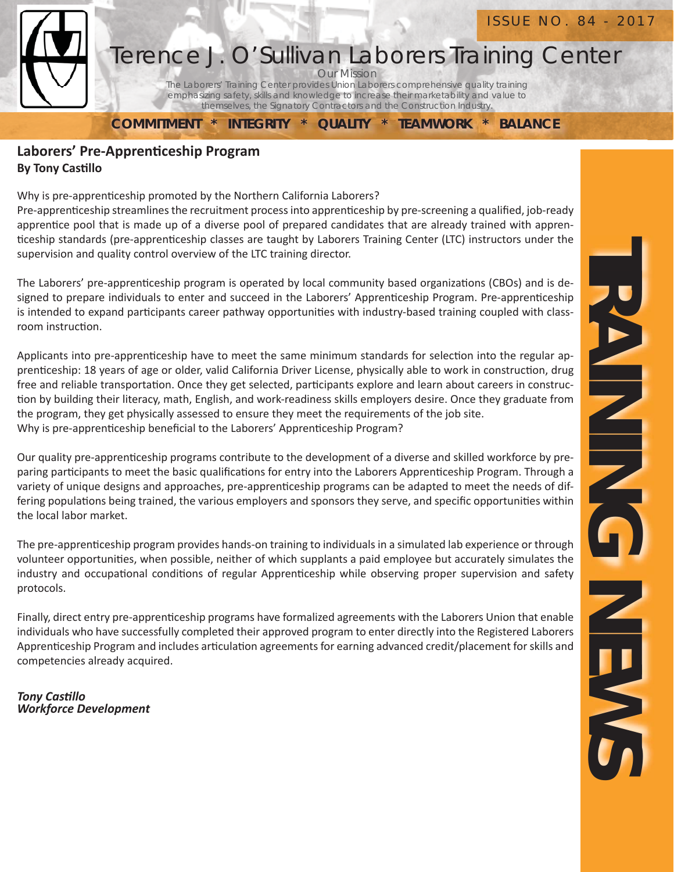

#### Our Mission Terence J. O'Sullivan Laborers Training Center

The Laborers' Training Center provides Union Laborers comprehensive quality training emphasizing safety, skills and knowledge to increase their marketability and value to themselves, the Signatory Contractors and the Construction Industry.

**COMMITMENT \* INTEGRITY \* QUALITY \* TEAMWORK \* BALANCE**

#### **Laborers' Pre-Apprenticeship Program By Tony Castillo**

Why is pre-apprenticeship promoted by the Northern California Laborers?

Pre-apprenticeship streamlines the recruitment process into apprenticeship by pre-screening a qualified, job-ready apprentice pool that is made up of a diverse pool of prepared candidates that are already trained with apprenticeship standards (pre-apprenticeship classes are taught by Laborers Training Center (LTC) instructors under the supervision and quality control overview of the LTC training director.

The Laborers' pre-apprenticeship program is operated by local community based organizations (CBOs) and is designed to prepare individuals to enter and succeed in the Laborers' Apprenticeship Program. Pre-apprenticeship is intended to expand participants career pathway opportunities with industry-based training coupled with classroom instruction.

Applicants into pre-apprenticeship have to meet the same minimum standards for selection into the regular apprenticeship: 18 years of age or older, valid California Driver License, physically able to work in construction, drug free and reliable transportation. Once they get selected, participants explore and learn about careers in construction by building their literacy, math, English, and work-readiness skills employers desire. Once they graduate from the program, they get physically assessed to ensure they meet the requirements of the job site. Why is pre-apprenticeship beneficial to the Laborers' Apprenticeship Program?

Our quality pre-apprenticeship programs contribute to the development of a diverse and skilled workforce by preparing participants to meet the basic qualifications for entry into the Laborers Apprenticeship Program. Through a variety of unique designs and approaches, pre-apprenticeship programs can be adapted to meet the needs of differing populations being trained, the various employers and sponsors they serve, and specific opportunities within the local labor market.

The pre-apprenticeship program provides hands-on training to individuals in a simulated lab experience or through volunteer opportunities, when possible, neither of which supplants a paid employee but accurately simulates the industry and occupational conditions of regular Apprenticeship while observing proper supervision and safety protocols.

Finally, direct entry pre-apprenticeship programs have formalized agreements with the Laborers Union that enable individuals who have successfully completed their approved program to enter directly into the Registered Laborers Apprenticeship Program and includes articulation agreements for earning advanced credit/placement for skills and competencies already acquired.

*Tony CasƟ llo Workforce Development*